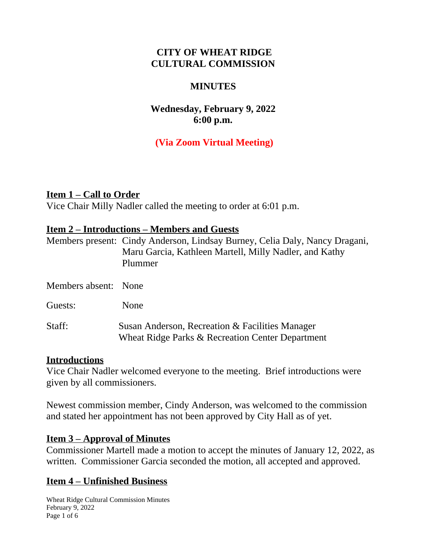## **CITY OF WHEAT RIDGE CULTURAL COMMISSION**

#### **MINUTES**

## **Wednesday, February 9, 2022 6:00 p.m.**

# **(Via Zoom Virtual Meeting)**

#### **Item 1 – Call to Order**

Vice Chair Milly Nadler called the meeting to order at 6:01 p.m.

#### **Item 2 – Introductions – Members and Guests**

|                      | Members present: Cindy Anderson, Lindsay Burney, Celia Daly, Nancy Dragani,<br>Maru Garcia, Kathleen Martell, Milly Nadler, and Kathy<br>Plummer |
|----------------------|--------------------------------------------------------------------------------------------------------------------------------------------------|
| Members absent: None |                                                                                                                                                  |
| Guests:              | None                                                                                                                                             |
| Staff:               | Susan Anderson, Recreation & Facilities Manager<br>Wheat Ridge Parks & Recreation Center Department                                              |

#### **Introductions**

Vice Chair Nadler welcomed everyone to the meeting. Brief introductions were given by all commissioners.

Newest commission member, Cindy Anderson, was welcomed to the commission and stated her appointment has not been approved by City Hall as of yet.

#### **Item 3 – Approval of Minutes**

Commissioner Martell made a motion to accept the minutes of January 12, 2022, as written. Commissioner Garcia seconded the motion, all accepted and approved.

## **Item 4 – Unfinished Business**

Wheat Ridge Cultural Commission Minutes February 9, 2022 Page 1 of 6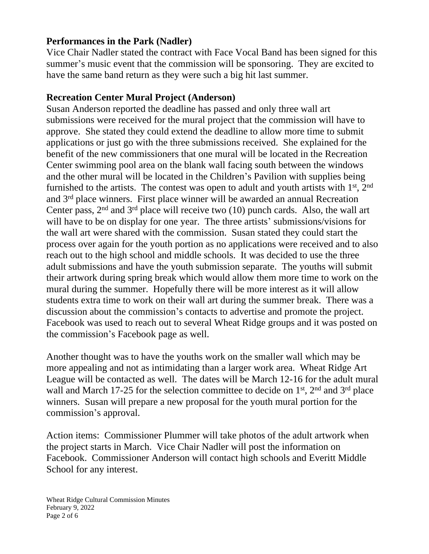### **Performances in the Park (Nadler)**

Vice Chair Nadler stated the contract with Face Vocal Band has been signed for this summer's music event that the commission will be sponsoring. They are excited to have the same band return as they were such a big hit last summer.

#### **Recreation Center Mural Project (Anderson)**

Susan Anderson reported the deadline has passed and only three wall art submissions were received for the mural project that the commission will have to approve. She stated they could extend the deadline to allow more time to submit applications or just go with the three submissions received. She explained for the benefit of the new commissioners that one mural will be located in the Recreation Center swimming pool area on the blank wall facing south between the windows and the other mural will be located in the Children's Pavilion with supplies being furnished to the artists. The contest was open to adult and youth artists with  $1<sup>st</sup>$ ,  $2<sup>nd</sup>$ and 3rd place winners. First place winner will be awarded an annual Recreation Center pass,  $2<sup>nd</sup>$  and  $3<sup>rd</sup>$  place will receive two (10) punch cards. Also, the wall art will have to be on display for one year. The three artists' submissions/visions for the wall art were shared with the commission. Susan stated they could start the process over again for the youth portion as no applications were received and to also reach out to the high school and middle schools. It was decided to use the three adult submissions and have the youth submission separate. The youths will submit their artwork during spring break which would allow them more time to work on the mural during the summer. Hopefully there will be more interest as it will allow students extra time to work on their wall art during the summer break. There was a discussion about the commission's contacts to advertise and promote the project. Facebook was used to reach out to several Wheat Ridge groups and it was posted on the commission's Facebook page as well.

Another thought was to have the youths work on the smaller wall which may be more appealing and not as intimidating than a larger work area. Wheat Ridge Art League will be contacted as well. The dates will be March 12-16 for the adult mural wall and March 17-25 for the selection committee to decide on  $1<sup>st</sup>$ ,  $2<sup>nd</sup>$  and  $3<sup>rd</sup>$  place winners. Susan will prepare a new proposal for the youth mural portion for the commission's approval.

Action items: Commissioner Plummer will take photos of the adult artwork when the project starts in March. Vice Chair Nadler will post the information on Facebook. Commissioner Anderson will contact high schools and Everitt Middle School for any interest.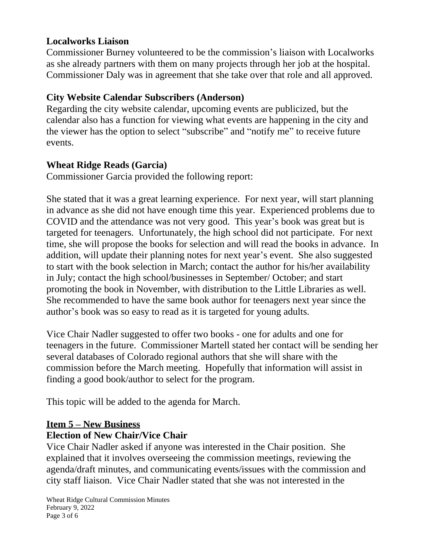## **Localworks Liaison**

Commissioner Burney volunteered to be the commission's liaison with Localworks as she already partners with them on many projects through her job at the hospital. Commissioner Daly was in agreement that she take over that role and all approved.

# **City Website Calendar Subscribers (Anderson)**

Regarding the city website calendar, upcoming events are publicized, but the calendar also has a function for viewing what events are happening in the city and the viewer has the option to select "subscribe" and "notify me" to receive future events.

# **Wheat Ridge Reads (Garcia)**

Commissioner Garcia provided the following report:

She stated that it was a great learning experience. For next year, will start planning in advance as she did not have enough time this year. Experienced problems due to COVID and the attendance was not very good. This year's book was great but is targeted for teenagers. Unfortunately, the high school did not participate. For next time, she will propose the books for selection and will read the books in advance. In addition, will update their planning notes for next year's event. She also suggested to start with the book selection in March; contact the author for his/her availability in July; contact the high school/businesses in September/ October; and start promoting the book in November, with distribution to the Little Libraries as well. She recommended to have the same book author for teenagers next year since the author's book was so easy to read as it is targeted for young adults.

Vice Chair Nadler suggested to offer two books - one for adults and one for teenagers in the future. Commissioner Martell stated her contact will be sending her several databases of Colorado regional authors that she will share with the commission before the March meeting. Hopefully that information will assist in finding a good book/author to select for the program.

This topic will be added to the agenda for March.

# **Item 5 – New Business Election of New Chair/Vice Chair**

Vice Chair Nadler asked if anyone was interested in the Chair position. She explained that it involves overseeing the commission meetings, reviewing the agenda/draft minutes, and communicating events/issues with the commission and city staff liaison. Vice Chair Nadler stated that she was not interested in the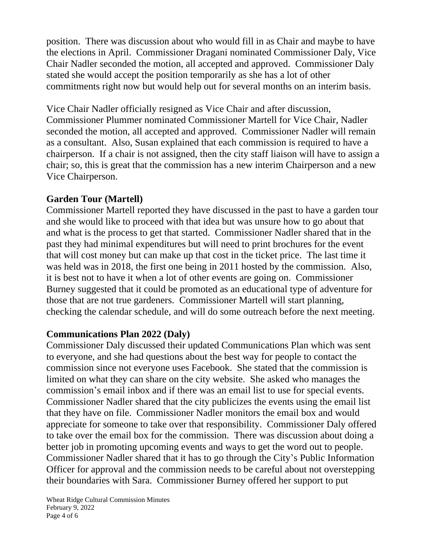position. There was discussion about who would fill in as Chair and maybe to have the elections in April. Commissioner Dragani nominated Commissioner Daly, Vice Chair Nadler seconded the motion, all accepted and approved. Commissioner Daly stated she would accept the position temporarily as she has a lot of other commitments right now but would help out for several months on an interim basis.

Vice Chair Nadler officially resigned as Vice Chair and after discussion, Commissioner Plummer nominated Commissioner Martell for Vice Chair, Nadler seconded the motion, all accepted and approved. Commissioner Nadler will remain as a consultant. Also, Susan explained that each commission is required to have a chairperson. If a chair is not assigned, then the city staff liaison will have to assign a chair; so, this is great that the commission has a new interim Chairperson and a new Vice Chairperson.

## **Garden Tour (Martell)**

Commissioner Martell reported they have discussed in the past to have a garden tour and she would like to proceed with that idea but was unsure how to go about that and what is the process to get that started. Commissioner Nadler shared that in the past they had minimal expenditures but will need to print brochures for the event that will cost money but can make up that cost in the ticket price. The last time it was held was in 2018, the first one being in 2011 hosted by the commission. Also, it is best not to have it when a lot of other events are going on. Commissioner Burney suggested that it could be promoted as an educational type of adventure for those that are not true gardeners. Commissioner Martell will start planning, checking the calendar schedule, and will do some outreach before the next meeting.

## **Communications Plan 2022 (Daly)**

Commissioner Daly discussed their updated Communications Plan which was sent to everyone, and she had questions about the best way for people to contact the commission since not everyone uses Facebook. She stated that the commission is limited on what they can share on the city website. She asked who manages the commission's email inbox and if there was an email list to use for special events. Commissioner Nadler shared that the city publicizes the events using the email list that they have on file. Commissioner Nadler monitors the email box and would appreciate for someone to take over that responsibility. Commissioner Daly offered to take over the email box for the commission. There was discussion about doing a better job in promoting upcoming events and ways to get the word out to people. Commissioner Nadler shared that it has to go through the City's Public Information Officer for approval and the commission needs to be careful about not overstepping their boundaries with Sara. Commissioner Burney offered her support to put

Wheat Ridge Cultural Commission Minutes February 9, 2022 Page 4 of 6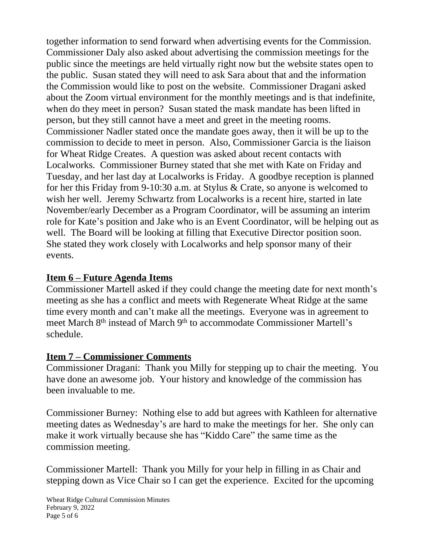together information to send forward when advertising events for the Commission. Commissioner Daly also asked about advertising the commission meetings for the public since the meetings are held virtually right now but the website states open to the public. Susan stated they will need to ask Sara about that and the information the Commission would like to post on the website. Commissioner Dragani asked about the Zoom virtual environment for the monthly meetings and is that indefinite, when do they meet in person? Susan stated the mask mandate has been lifted in person, but they still cannot have a meet and greet in the meeting rooms. Commissioner Nadler stated once the mandate goes away, then it will be up to the commission to decide to meet in person. Also, Commissioner Garcia is the liaison for Wheat Ridge Creates. A question was asked about recent contacts with Localworks. Commissioner Burney stated that she met with Kate on Friday and Tuesday, and her last day at Localworks is Friday. A goodbye reception is planned for her this Friday from 9-10:30 a.m. at Stylus & Crate, so anyone is welcomed to wish her well. Jeremy Schwartz from Localworks is a recent hire, started in late November/early December as a Program Coordinator, will be assuming an interim role for Kate's position and Jake who is an Event Coordinator, will be helping out as well. The Board will be looking at filling that Executive Director position soon. She stated they work closely with Localworks and help sponsor many of their events.

## **Item 6 – Future Agenda Items**

Commissioner Martell asked if they could change the meeting date for next month's meeting as she has a conflict and meets with Regenerate Wheat Ridge at the same time every month and can't make all the meetings. Everyone was in agreement to meet March 8th instead of March 9th to accommodate Commissioner Martell's schedule.

#### **Item 7 – Commissioner Comments**

Commissioner Dragani: Thank you Milly for stepping up to chair the meeting. You have done an awesome job. Your history and knowledge of the commission has been invaluable to me.

Commissioner Burney: Nothing else to add but agrees with Kathleen for alternative meeting dates as Wednesday's are hard to make the meetings for her. She only can make it work virtually because she has "Kiddo Care" the same time as the commission meeting.

Commissioner Martell: Thank you Milly for your help in filling in as Chair and stepping down as Vice Chair so I can get the experience. Excited for the upcoming